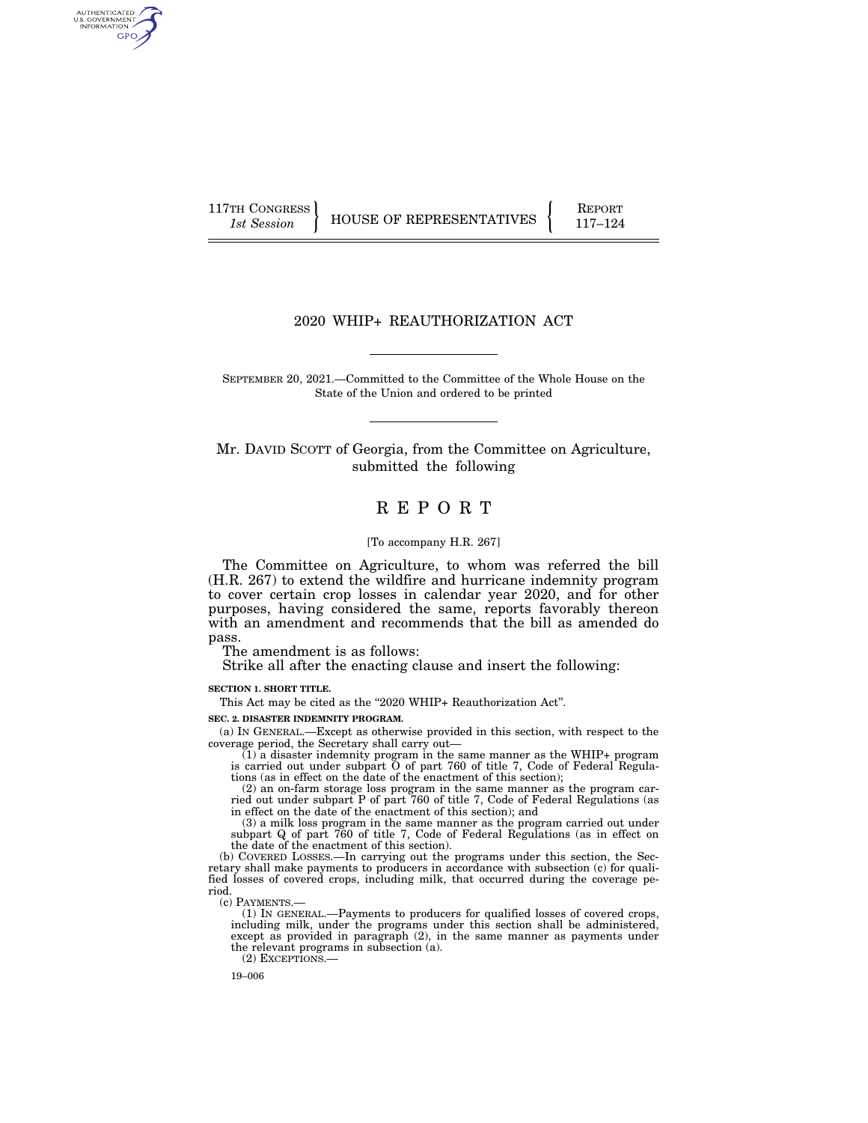AUTHENTICATED<br>U.S. GOVERNMENT<br>INFORMATION **GPO** 

117TH CONGRESS HOUSE OF REPRESENTATIVES FEPORT 117-124

# 2020 WHIP+ REAUTHORIZATION ACT

SEPTEMBER 20, 2021.—Committed to the Committee of the Whole House on the State of the Union and ordered to be printed

Mr. DAVID SCOTT of Georgia, from the Committee on Agriculture, submitted the following

# R E P O R T

#### [To accompany H.R. 267]

The Committee on Agriculture, to whom was referred the bill (H.R. 267) to extend the wildfire and hurricane indemnity program to cover certain crop losses in calendar year 2020, and for other purposes, having considered the same, reports favorably thereon with an amendment and recommends that the bill as amended do pass.

The amendment is as follows:

Strike all after the enacting clause and insert the following:

**SECTION 1. SHORT TITLE.** 

This Act may be cited as the "2020 WHIP+ Reauthorization Act".

**SEC. 2. DISASTER INDEMNITY PROGRAM.** 

(a) IN GENERAL.—Except as otherwise provided in this section, with respect to the coverage period, the Secretary shall carry out—

 $(1)$  a disaster indemnity program in the same manner as the WHIP+ program is carried out under subpart O of part 760 of title 7, Code of Federal Regulations (as in effect on the date of the enactment of this section);

(2) an on-farm storage loss program in the same manner as the program carried out under subpart P of part 760 of title 7, Code of Federal Regulations (as in effect on the date of the enactment of this section); and

(3) a milk loss program in the same manner as the program carried out under subpart Q of part 760 of title 7, Code of Federal Regulations (as in effect on the date of the enactment of this section).

(b) COVERED LOSSES.—In carrying out the programs under this section, the Secretary shall make payments to producers in accordance with subsection (c) for qualified losses of covered crops, including milk, that occurred during the coverage period.

(c) PAYMENTS.—

(1) IN GENERAL.—Payments to producers for qualified losses of covered crops, including milk, under the programs under this section shall be administered, except as provided in paragraph (2), in the same manner as payments under the relevant programs in subsection (a). (2) EXCEPTIONS.—

19–006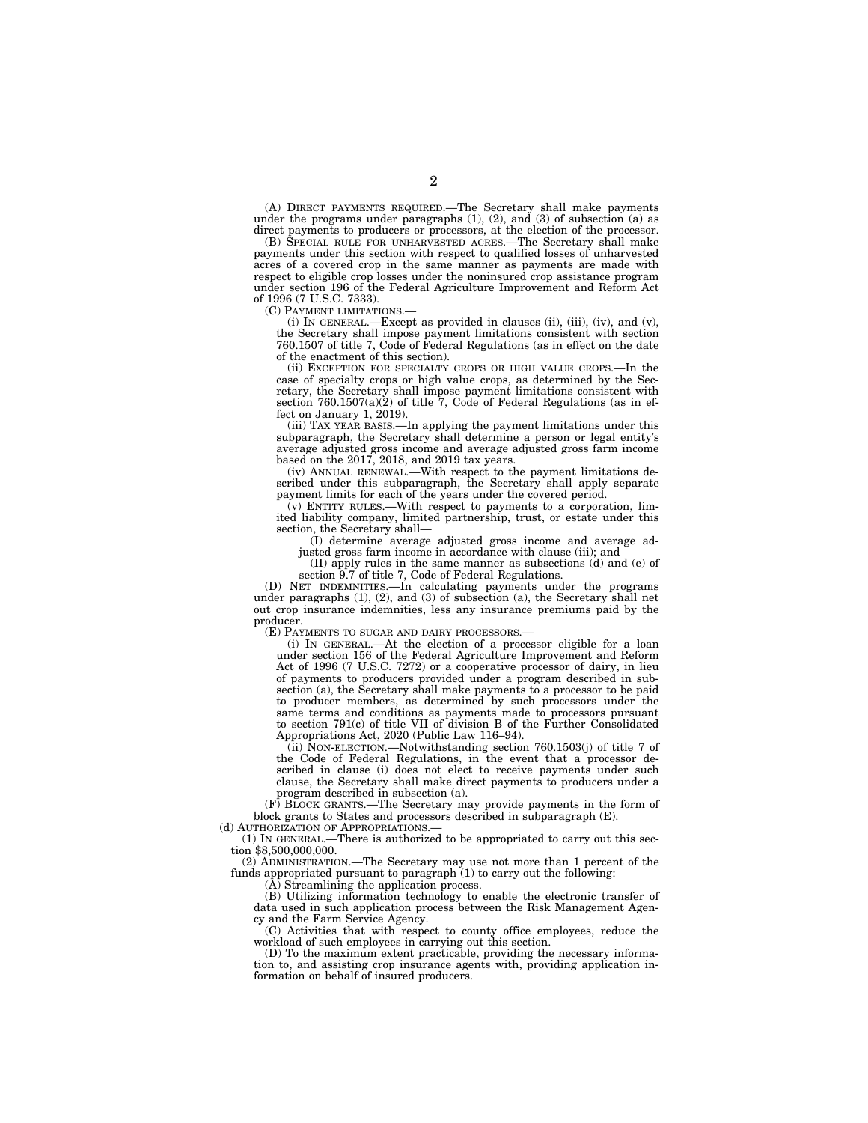(A) DIRECT PAYMENTS REQUIRED.—The Secretary shall make payments under the programs under paragraphs (1), (2), and (3) of subsection (a) as direct payments to producers or processors, at the election of the processor.

(B) SPECIAL RULE FOR UNHARVESTED ACRES.—The Secretary shall make payments under this section with respect to qualified losses of unharvested acres of a covered crop in the same manner as payments are made with respect to eligible crop losses under the noninsured crop assistance program under section 196 of the Federal Agriculture Improvement and Reform Act of 1996 (7 U.S.C. 7333).

(C) PAYMENT LIMITATIONS.—

(i) IN GENERAL.—Except as provided in clauses (ii), (iii), (iv), and (v), the Secretary shall impose payment limitations consistent with section 760.1507 of title 7, Code of Federal Regulations (as in effect on the date of the enactment of this section).

(ii) EXCEPTION FOR SPECIALTY CROPS OR HIGH VALUE CROPS.—In the case of specialty crops or high value crops, as determined by the Secretary, the Secretary shall impose payment limitations consistent with section 760.1507(a)(2) of title 7, Code of Federal Regulations (as in effect on January 1, 2019).

(iii) TAX YEAR BASIS.—In applying the payment limitations under this subparagraph, the Secretary shall determine a person or legal entity's average adjusted gross income and average adjusted gross farm income based on the 2017, 2018, and 2019 tax years.

(iv) ANNUAL RENEWAL.—With respect to the payment limitations described under this subparagraph, the Secretary shall apply separate payment limits for each of the years under the covered period.

(v) ENTITY RULES.—With respect to payments to a corporation, limited liability company, limited partnership, trust, or estate under this section, the Secretary shall—

(I) determine average adjusted gross income and average adjusted gross farm income in accordance with clause (iii); and

(II) apply rules in the same manner as subsections (d) and (e) of section 9.7 of title 7, Code of Federal Regulations.

(D) NET INDEMNITIES.—In calculating payments under the programs under paragraphs (1), (2), and (3) of subsection (a), the Secretary shall net out crop insurance indemnities, less any insurance premiums paid by the producer.

(E) PAYMENTS TO SUGAR AND DAIRY PROCESSORS.—

(i) IN GENERAL.—At the election of a processor eligible for a loan under section 156 of the Federal Agriculture Improvement and Reform Act of 1996 (7 U.S.C. 7272) or a cooperative processor of dairy, in lieu of payments to producers provided under a program described in subsection (a), the Secretary shall make payments to a processor to be paid to producer members, as determined by such processors under the same terms and conditions as payments made to processors pursuant to section 791(c) of title VII of division B of the Further Consolidated Appropriations Act, 2020 (Public Law 116–94).

 $(iii)$  NON-ELECTION.—Notwithstanding section 760.1503(j) of title 7 of the Code of Federal Regulations, in the event that a processor described in clause (i) does not elect to receive payments under such clause, the Secretary shall make direct payments to producers under a program described in subsection (a).

(F) BLOCK GRANTS.—The Secretary may provide payments in the form of block grants to States and processors described in subparagraph (E).

(d) AUTHORIZATION OF APPROPRIATIONS.—

(1) IN GENERAL.—There is authorized to be appropriated to carry out this section \$8,500,000,000.

(2) ADMINISTRATION.—The Secretary may use not more than 1 percent of the funds appropriated pursuant to paragraph (1) to carry out the following:

(A) Streamlining the application process.

(B) Utilizing information technology to enable the electronic transfer of data used in such application process between the Risk Management Agency and the Farm Service Agency.

(C) Activities that with respect to county office employees, reduce the workload of such employees in carrying out this section.

(D) To the maximum extent practicable, providing the necessary information to, and assisting crop insurance agents with, providing application information on behalf of insured producers.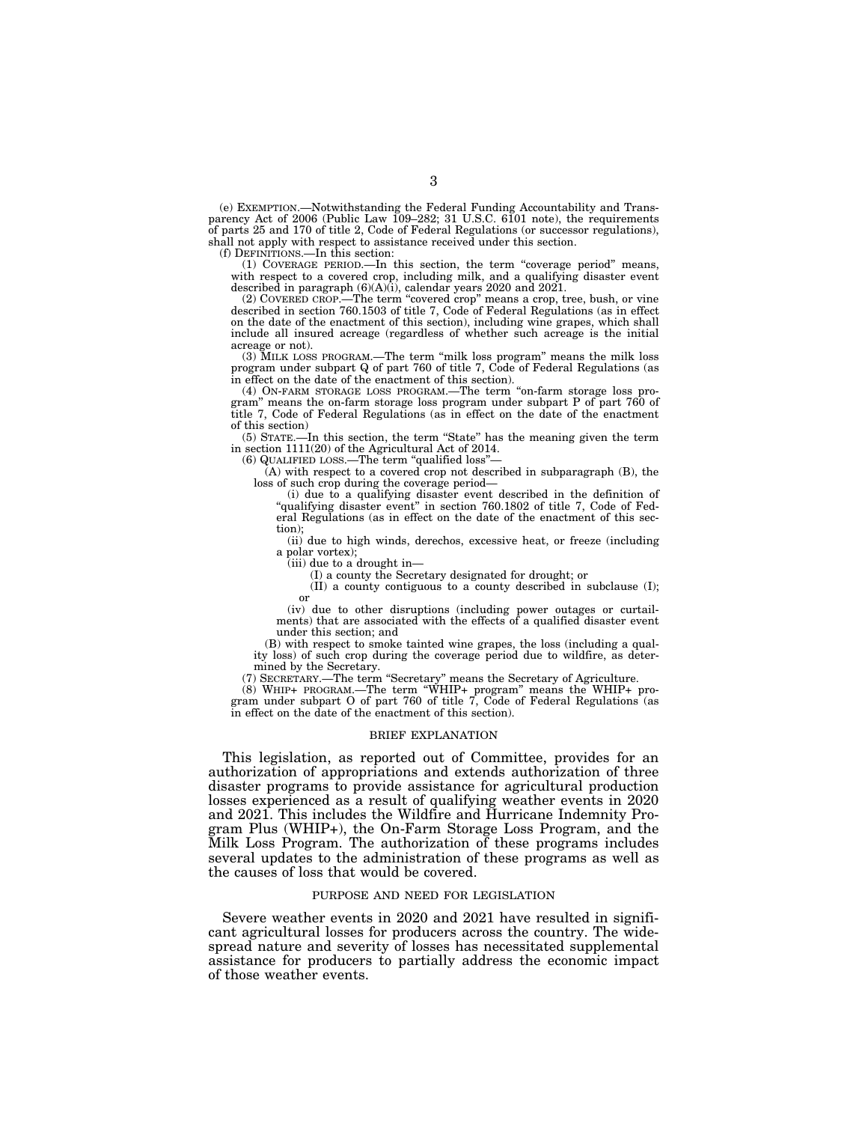(e) EXEMPTION.—Notwithstanding the Federal Funding Accountability and Transparency Act of 2006 (Public Law 109–282; 31 U.S.C. 6101 note), the requirements of parts 25 and 170 of title 2, Code of Federal Regulations (or successor regulations), shall not apply with respect to assistance received under this section.

(f) DEFINITIONS.—In this section:

(1) COVERAGE PERIOD.—In this section, the term ''coverage period'' means, with respect to a covered crop, including milk, and a qualifying disaster event described in paragraph  $(6)(A)(i)$ , calendar years 2020 and 2021.

(2) COVERED CROP.—The term ''covered crop'' means a crop, tree, bush, or vine described in section 760.1503 of title 7, Code of Federal Regulations (as in effect on the date of the enactment of this section), including wine grapes, which shall include all insured acreage (regardless of whether such acreage is the initial acreage or not).

(3) MILK LOSS PROGRAM.—The term ''milk loss program'' means the milk loss program under subpart Q of part 760 of title 7, Code of Federal Regulations (as in effect on the date of the enactment of this section).

(4) ON-FARM STORAGE LOSS PROGRAM.—The term ''on-farm storage loss program'' means the on-farm storage loss program under subpart P of part 760 of title 7, Code of Federal Regulations (as in effect on the date of the enactment of this section)

(5) STATE.—In this section, the term ''State'' has the meaning given the term in section 1111(20) of the Agricultural Act of 2014.

(6) QUALIFIED LOSS.—The term ''qualified loss''—

 $(A)$  with respect to a covered crop not described in subparagraph  $(B)$ , the loss of such crop during the coverage period—

(i) due to a qualifying disaster event described in the definition of "qualifying disaster event" in section 760.1802 of title 7, Code of Federal Regulations (as in effect on the date of the enactment of this section);

(ii) due to high winds, derechos, excessive heat, or freeze (including a polar vortex);

(iii) due to a drought in—

(I) a county the Secretary designated for drought; or

(II) a county contiguous to a county described in subclause (I); or

(iv) due to other disruptions (including power outages or curtailments) that are associated with the effects of a qualified disaster event under this section; and

(B) with respect to smoke tainted wine grapes, the loss (including a quality loss) of such crop during the coverage period due to wildfire, as determined by the Secretary.

(7) SECRETARY.—The term ''Secretary'' means the Secretary of Agriculture.

(8) WHIP+ PROGRAM.—The term ''WHIP+ program'' means the WHIP+ program under subpart O of part 760 of title 7, Code of Federal Regulations (as in effect on the date of the enactment of this section).

#### BRIEF EXPLANATION

This legislation, as reported out of Committee, provides for an authorization of appropriations and extends authorization of three disaster programs to provide assistance for agricultural production losses experienced as a result of qualifying weather events in 2020 and 2021. This includes the Wildfire and Hurricane Indemnity Program Plus (WHIP+), the On-Farm Storage Loss Program, and the Milk Loss Program. The authorization of these programs includes several updates to the administration of these programs as well as the causes of loss that would be covered.

# PURPOSE AND NEED FOR LEGISLATION

Severe weather events in 2020 and 2021 have resulted in significant agricultural losses for producers across the country. The widespread nature and severity of losses has necessitated supplemental assistance for producers to partially address the economic impact of those weather events.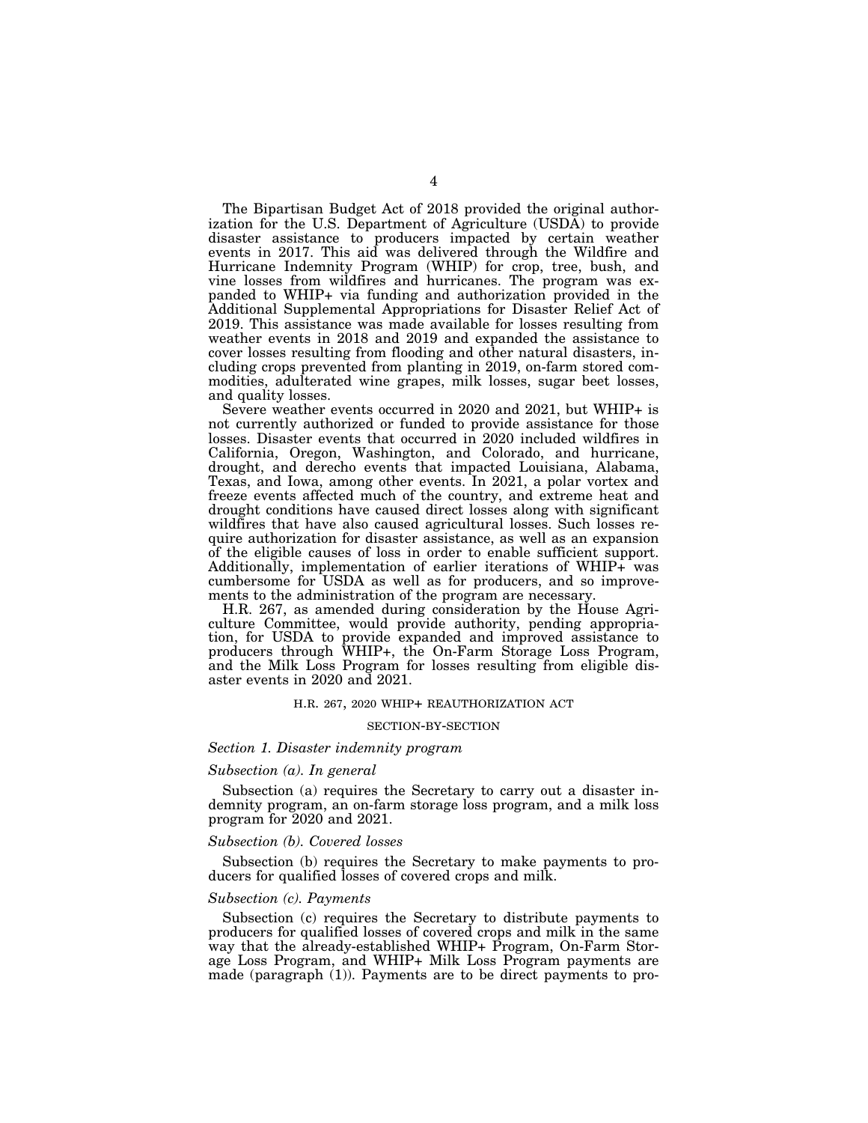The Bipartisan Budget Act of 2018 provided the original authorization for the U.S. Department of Agriculture (USDA) to provide disaster assistance to producers impacted by certain weather events in 2017. This aid was delivered through the Wildfire and Hurricane Indemnity Program (WHIP) for crop, tree, bush, and vine losses from wildfires and hurricanes. The program was expanded to WHIP+ via funding and authorization provided in the Additional Supplemental Appropriations for Disaster Relief Act of 2019. This assistance was made available for losses resulting from weather events in 2018 and 2019 and expanded the assistance to cover losses resulting from flooding and other natural disasters, including crops prevented from planting in 2019, on-farm stored commodities, adulterated wine grapes, milk losses, sugar beet losses, and quality losses.

Severe weather events occurred in 2020 and 2021, but WHIP+ is not currently authorized or funded to provide assistance for those losses. Disaster events that occurred in 2020 included wildfires in California, Oregon, Washington, and Colorado, and hurricane, drought, and derecho events that impacted Louisiana, Alabama, Texas, and Iowa, among other events. In 2021, a polar vortex and freeze events affected much of the country, and extreme heat and drought conditions have caused direct losses along with significant wildfires that have also caused agricultural losses. Such losses require authorization for disaster assistance, as well as an expansion of the eligible causes of loss in order to enable sufficient support. Additionally, implementation of earlier iterations of WHIP+ was cumbersome for USDA as well as for producers, and so improvements to the administration of the program are necessary.

H.R. 267, as amended during consideration by the House Agriculture Committee, would provide authority, pending appropriation, for USDA to provide expanded and improved assistance to producers through WHIP+, the On-Farm Storage Loss Program, and the Milk Loss Program for losses resulting from eligible disaster events in 2020 and 2021.

#### H.R. 267, 2020 WHIP+ REAUTHORIZATION ACT

### SECTION-BY-SECTION

# *Section 1. Disaster indemnity program*

## *Subsection (a). In general*

Subsection (a) requires the Secretary to carry out a disaster indemnity program, an on-farm storage loss program, and a milk loss program for 2020 and 2021.

# *Subsection (b). Covered losses*

Subsection (b) requires the Secretary to make payments to producers for qualified losses of covered crops and milk.

# *Subsection (c). Payments*

Subsection (c) requires the Secretary to distribute payments to producers for qualified losses of covered crops and milk in the same way that the already-established WHIP+ Program, On-Farm Storage Loss Program, and WHIP+ Milk Loss Program payments are made (paragraph (1)). Payments are to be direct payments to pro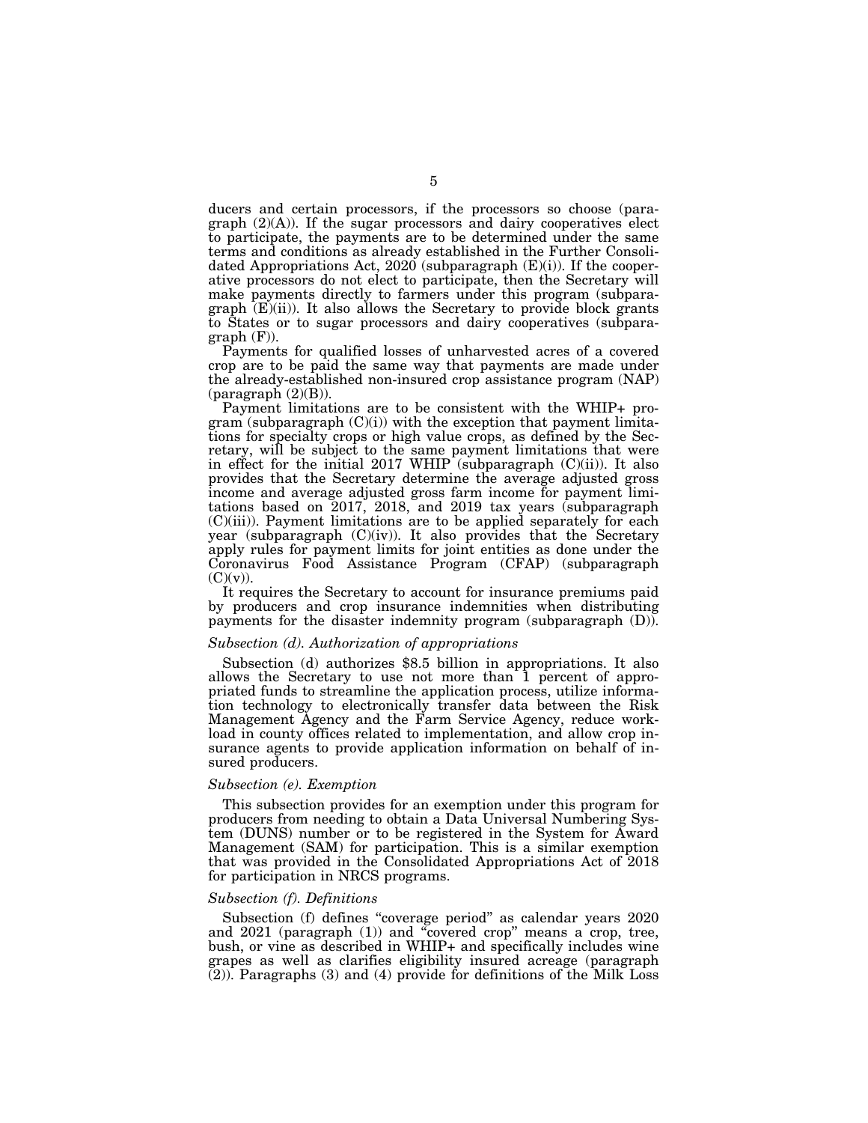ducers and certain processors, if the processors so choose (paragraph  $(2)(A)$ ). If the sugar processors and dairy cooperatives elect to participate, the payments are to be determined under the same terms and conditions as already established in the Further Consolidated Appropriations Act, 2020 (subparagraph  $(E)(i)$ ). If the cooperative processors do not elect to participate, then the Secretary will make payments directly to farmers under this program (subparagraph  $(E)(ii)$ . It also allows the Secretary to provide block grants to States or to sugar processors and dairy cooperatives (subpara $graph$  (F)).

Payments for qualified losses of unharvested acres of a covered crop are to be paid the same way that payments are made under the already-established non-insured crop assistance program (NAP) (paragraph (2)(B)).

Payment limitations are to be consistent with the WHIP+ program (subparagraph  $(C)(i)$ ) with the exception that payment limitations for specialty crops or high value crops, as defined by the Secretary, will be subject to the same payment limitations that were in effect for the initial 2017 WHIP (subparagraph  $(C)(ii)$ ). It also provides that the Secretary determine the average adjusted gross income and average adjusted gross farm income for payment limitations based on 2017, 2018, and 2019 tax years (subparagraph (C)(iii)). Payment limitations are to be applied separately for each year (subparagraph (C)(iv)). It also provides that the Secretary apply rules for payment limits for joint entities as done under the Coronavirus Food Assistance Program (CFAP) (subparagraph  $(C)(v)$ ).

It requires the Secretary to account for insurance premiums paid by producers and crop insurance indemnities when distributing payments for the disaster indemnity program (subparagraph (D)).

### *Subsection (d). Authorization of appropriations*

Subsection (d) authorizes \$8.5 billion in appropriations. It also allows the Secretary to use not more than 1 percent of appropriated funds to streamline the application process, utilize information technology to electronically transfer data between the Risk Management Agency and the Farm Service Agency, reduce workload in county offices related to implementation, and allow crop insurance agents to provide application information on behalf of insured producers.

## *Subsection (e). Exemption*

This subsection provides for an exemption under this program for producers from needing to obtain a Data Universal Numbering System (DUNS) number or to be registered in the System for Award Management (SAM) for participation. This is a similar exemption that was provided in the Consolidated Appropriations Act of 2018 for participation in NRCS programs.

# *Subsection (f). Definitions*

Subsection (f) defines "coverage period" as calendar years 2020 and 2021 (paragraph (1)) and ''covered crop'' means a crop, tree, bush, or vine as described in WHIP+ and specifically includes wine grapes as well as clarifies eligibility insured acreage (paragraph (2)). Paragraphs (3) and (4) provide for definitions of the Milk Loss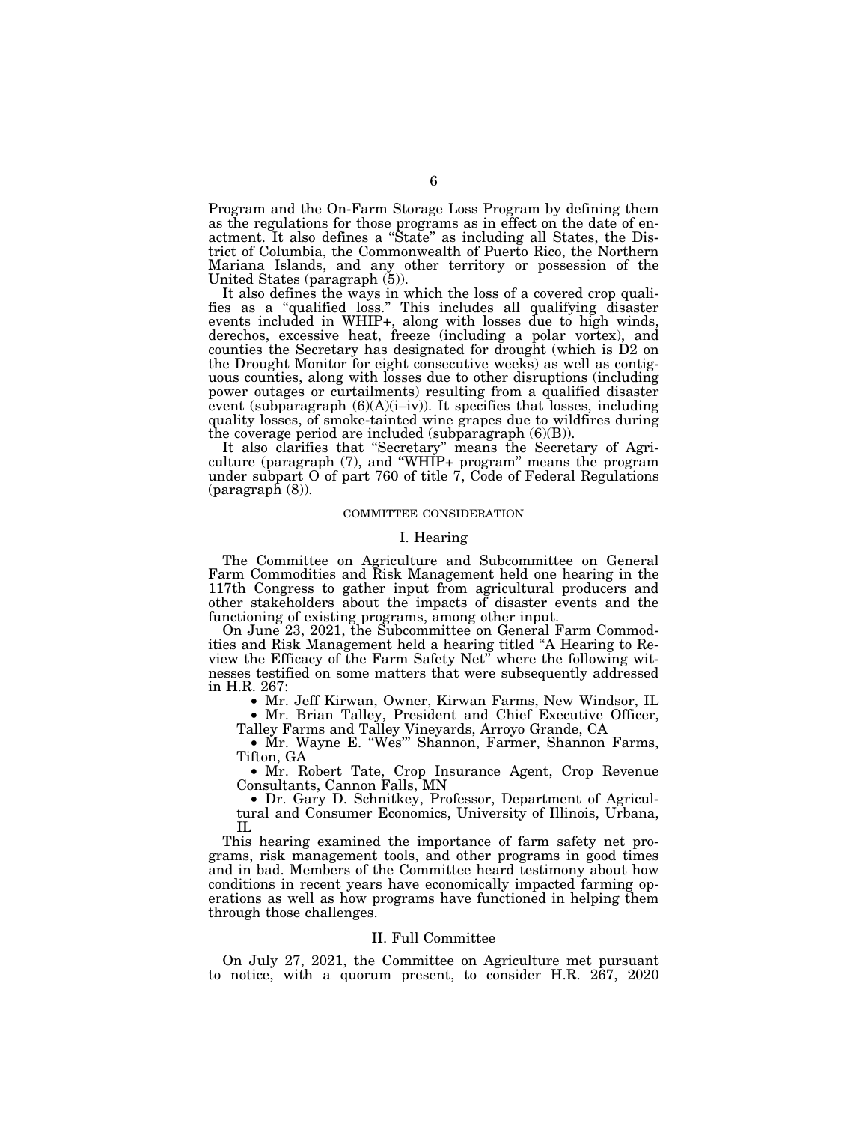Program and the On-Farm Storage Loss Program by defining them as the regulations for those programs as in effect on the date of enactment. It also defines a ''State'' as including all States, the District of Columbia, the Commonwealth of Puerto Rico, the Northern Mariana Islands, and any other territory or possession of the United States (paragraph (5)).

It also defines the ways in which the loss of a covered crop qualifies as a ''qualified loss.'' This includes all qualifying disaster events included in WHIP+, along with losses due to high winds, derechos, excessive heat, freeze (including a polar vortex), and counties the Secretary has designated for drought (which is D2 on the Drought Monitor for eight consecutive weeks) as well as contiguous counties, along with losses due to other disruptions (including power outages or curtailments) resulting from a qualified disaster event (subparagraph  $(6)(A)(i-iv)$ ). It specifies that losses, including quality losses, of smoke-tainted wine grapes due to wildfires during the coverage period are included (subparagraph (6)(B)).

It also clarifies that ''Secretary'' means the Secretary of Agriculture (paragraph (7), and ''WHIP+ program'' means the program under subpart O of part 760 of title 7, Code of Federal Regulations (paragraph (8)).

#### COMMITTEE CONSIDERATION

#### I. Hearing

The Committee on Agriculture and Subcommittee on General Farm Commodities and Risk Management held one hearing in the 117th Congress to gather input from agricultural producers and other stakeholders about the impacts of disaster events and the functioning of existing programs, among other input.

On June 23, 2021, the Subcommittee on General Farm Commodities and Risk Management held a hearing titled ''A Hearing to Review the Efficacy of the Farm Safety Net'' where the following witnesses testified on some matters that were subsequently addressed in H.R. 267:

• Mr. Jeff Kirwan, Owner, Kirwan Farms, New Windsor, IL • Mr. Brian Talley, President and Chief Executive Officer,

Talley Farms and Talley Vineyards, Arroyo Grande, CA

• Mr. Wayne E. ''Wes''' Shannon, Farmer, Shannon Farms, Tifton, GA

• Mr. Robert Tate, Crop Insurance Agent, Crop Revenue Consultants, Cannon Falls, MN

• Dr. Gary D. Schnitkey, Professor, Department of Agricultural and Consumer Economics, University of Illinois, Urbana, IL

This hearing examined the importance of farm safety net programs, risk management tools, and other programs in good times and in bad. Members of the Committee heard testimony about how conditions in recent years have economically impacted farming operations as well as how programs have functioned in helping them through those challenges.

# II. Full Committee

On July 27, 2021, the Committee on Agriculture met pursuant to notice, with a quorum present, to consider H.R. 267, 2020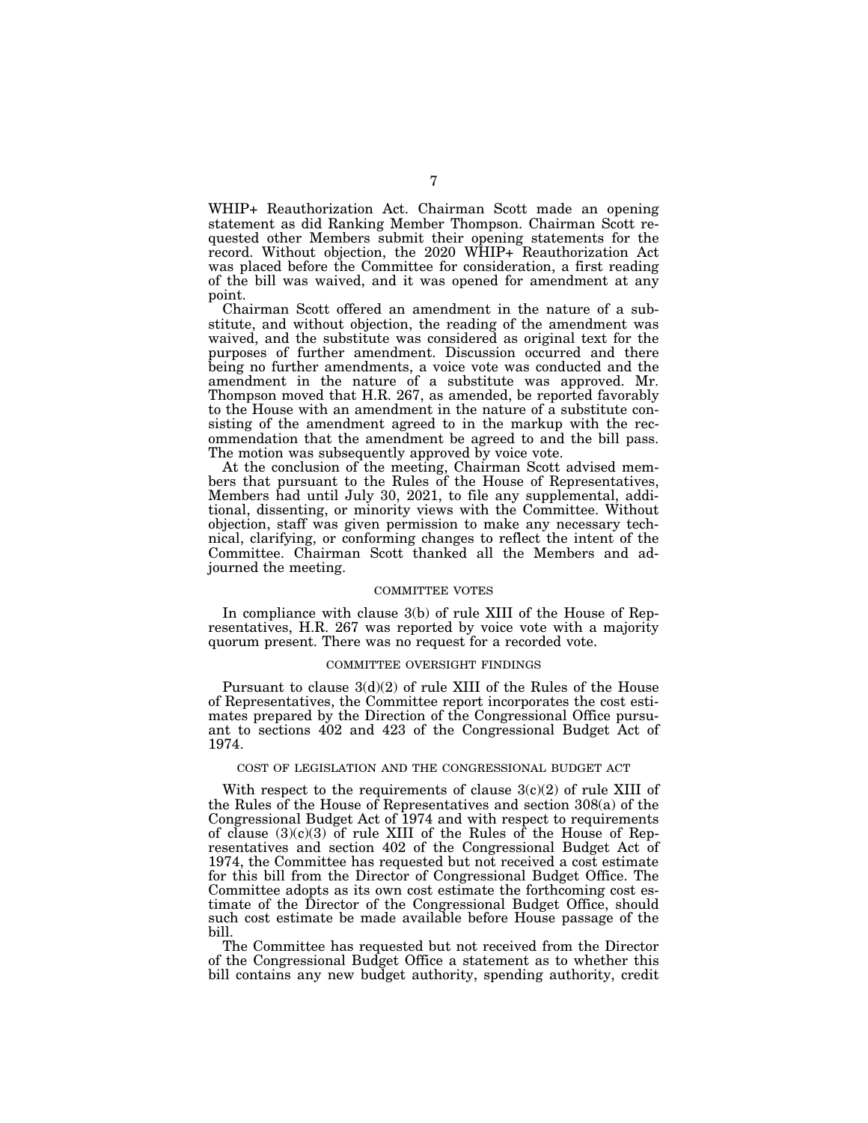WHIP+ Reauthorization Act. Chairman Scott made an opening statement as did Ranking Member Thompson. Chairman Scott requested other Members submit their opening statements for the record. Without objection, the 2020 WHIP+ Reauthorization Act was placed before the Committee for consideration, a first reading of the bill was waived, and it was opened for amendment at any point.

Chairman Scott offered an amendment in the nature of a substitute, and without objection, the reading of the amendment was waived, and the substitute was considered as original text for the purposes of further amendment. Discussion occurred and there being no further amendments, a voice vote was conducted and the amendment in the nature of a substitute was approved. Mr. Thompson moved that H.R. 267, as amended, be reported favorably to the House with an amendment in the nature of a substitute consisting of the amendment agreed to in the markup with the recommendation that the amendment be agreed to and the bill pass. The motion was subsequently approved by voice vote.

At the conclusion of the meeting, Chairman Scott advised members that pursuant to the Rules of the House of Representatives, Members had until July 30, 2021, to file any supplemental, additional, dissenting, or minority views with the Committee. Without objection, staff was given permission to make any necessary technical, clarifying, or conforming changes to reflect the intent of the Committee. Chairman Scott thanked all the Members and adjourned the meeting.

#### COMMITTEE VOTES

In compliance with clause 3(b) of rule XIII of the House of Representatives, H.R. 267 was reported by voice vote with a majority quorum present. There was no request for a recorded vote.

#### COMMITTEE OVERSIGHT FINDINGS

Pursuant to clause  $3(d)(2)$  of rule XIII of the Rules of the House of Representatives, the Committee report incorporates the cost estimates prepared by the Direction of the Congressional Office pursuant to sections 402 and 423 of the Congressional Budget Act of 1974.

# COST OF LEGISLATION AND THE CONGRESSIONAL BUDGET ACT

With respect to the requirements of clause  $3(c)(2)$  of rule XIII of the Rules of the House of Representatives and section 308(a) of the Congressional Budget Act of 1974 and with respect to requirements of clause  $(3)(c)(3)$  of rule XIII of the Rules of the House of Representatives and section 402 of the Congressional Budget Act of 1974, the Committee has requested but not received a cost estimate for this bill from the Director of Congressional Budget Office. The Committee adopts as its own cost estimate the forthcoming cost estimate of the Director of the Congressional Budget Office, should such cost estimate be made available before House passage of the bill.

The Committee has requested but not received from the Director of the Congressional Budget Office a statement as to whether this bill contains any new budget authority, spending authority, credit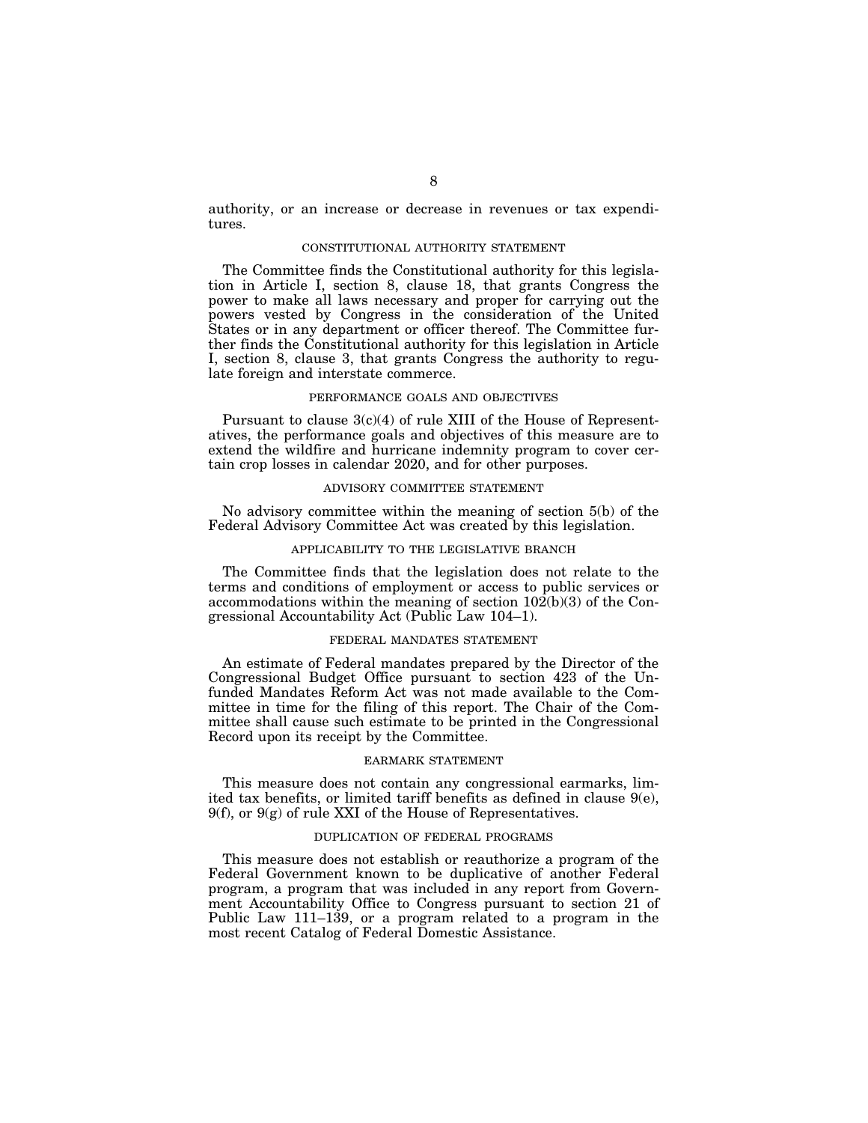authority, or an increase or decrease in revenues or tax expenditures.

# CONSTITUTIONAL AUTHORITY STATEMENT

The Committee finds the Constitutional authority for this legislation in Article I, section 8, clause 18, that grants Congress the power to make all laws necessary and proper for carrying out the powers vested by Congress in the consideration of the United States or in any department or officer thereof. The Committee further finds the Constitutional authority for this legislation in Article I, section 8, clause 3, that grants Congress the authority to regulate foreign and interstate commerce.

# PERFORMANCE GOALS AND OBJECTIVES

Pursuant to clause 3(c)(4) of rule XIII of the House of Representatives, the performance goals and objectives of this measure are to extend the wildfire and hurricane indemnity program to cover certain crop losses in calendar 2020, and for other purposes.

# ADVISORY COMMITTEE STATEMENT

No advisory committee within the meaning of section 5(b) of the Federal Advisory Committee Act was created by this legislation.

#### APPLICABILITY TO THE LEGISLATIVE BRANCH

The Committee finds that the legislation does not relate to the terms and conditions of employment or access to public services or accommodations within the meaning of section 102(b)(3) of the Congressional Accountability Act (Public Law 104–1).

# FEDERAL MANDATES STATEMENT

An estimate of Federal mandates prepared by the Director of the Congressional Budget Office pursuant to section 423 of the Unfunded Mandates Reform Act was not made available to the Committee in time for the filing of this report. The Chair of the Committee shall cause such estimate to be printed in the Congressional Record upon its receipt by the Committee.

#### EARMARK STATEMENT

This measure does not contain any congressional earmarks, limited tax benefits, or limited tariff benefits as defined in clause 9(e),  $9(f)$ , or  $9(g)$  of rule XXI of the House of Representatives.

#### DUPLICATION OF FEDERAL PROGRAMS

This measure does not establish or reauthorize a program of the Federal Government known to be duplicative of another Federal program, a program that was included in any report from Government Accountability Office to Congress pursuant to section 21 of Public Law 111–139, or a program related to a program in the most recent Catalog of Federal Domestic Assistance.